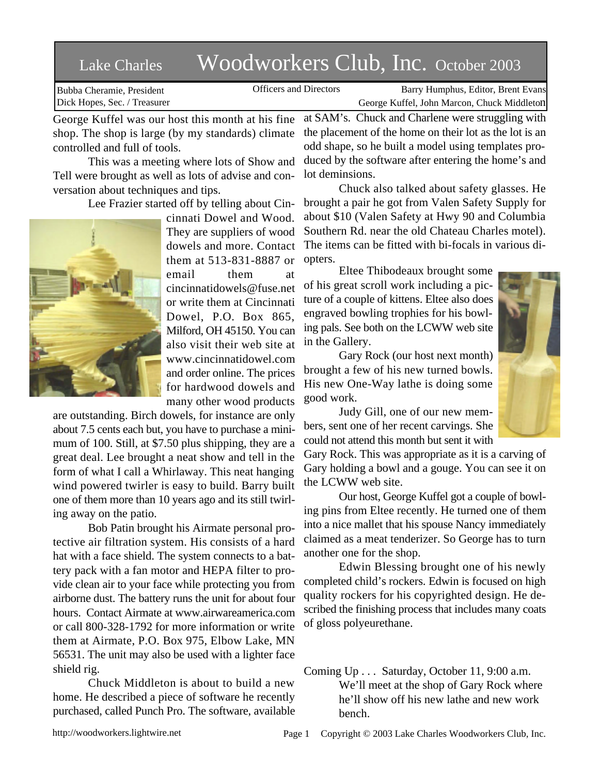## Lake Charles Woodworkers Club, Inc. October 2003

Bubba Cheramie, President Dick Hopes, Sec. / Treasurer

Officers and Directors Barry Humphus, Editor, Brent Evans George Kuffel, John Marcon, Chuck Middleton

George Kuffel was our host this month at his fine shop. The shop is large (by my standards) climate controlled and full of tools.

This was a meeting where lots of Show and Tell were brought as well as lots of advise and conversation about techniques and tips.

Lee Frazier started off by telling about Cin-



cinnati Dowel and Wood. They are suppliers of wood dowels and more. Contact them at 513-831-8887 or email them at cincinnatidowels@fuse.net or write them at Cincinnati Dowel, P.O. Box 865, Milford, OH 45150. You can also visit their web site at www.cincinnatidowel.com and order online. The prices for hardwood dowels and many other wood products

are outstanding. Birch dowels, for instance are only about 7.5 cents each but, you have to purchase a minimum of 100. Still, at \$7.50 plus shipping, they are a great deal. Lee brought a neat show and tell in the form of what I call a Whirlaway. This neat hanging wind powered twirler is easy to build. Barry built one of them more than 10 years ago and its still twirling away on the patio.

Bob Patin brought his Airmate personal protective air filtration system. His consists of a hard hat with a face shield. The system connects to a battery pack with a fan motor and HEPA filter to provide clean air to your face while protecting you from airborne dust. The battery runs the unit for about four hours. Contact Airmate at www.airwareamerica.com or call 800-328-1792 for more information or write them at Airmate, P.O. Box 975, Elbow Lake, MN 56531. The unit may also be used with a lighter face shield rig.

Chuck Middleton is about to build a new home. He described a piece of software he recently purchased, called Punch Pro. The software, available

at SAM's. Chuck and Charlene were struggling with the placement of the home on their lot as the lot is an odd shape, so he built a model using templates produced by the software after entering the home's and lot deminsions.

Chuck also talked about safety glasses. He brought a pair he got from Valen Safety Supply for about \$10 (Valen Safety at Hwy 90 and Columbia Southern Rd. near the old Chateau Charles motel). The items can be fitted with bi-focals in various diopters.

Eltee Thibodeaux brought some of his great scroll work including a picture of a couple of kittens. Eltee also does engraved bowling trophies for his bowling pals. See both on the LCWW web site in the Gallery.

Gary Rock (our host next month) brought a few of his new turned bowls. His new One-Way lathe is doing some good work.

Judy Gill, one of our new members, sent one of her recent carvings. She could not attend this month but sent it with

Gary Rock. This was appropriate as it is a carving of Gary holding a bowl and a gouge. You can see it on the LCWW web site.

Our host, George Kuffel got a couple of bowling pins from Eltee recently. He turned one of them into a nice mallet that his spouse Nancy immediately claimed as a meat tenderizer. So George has to turn another one for the shop.

Edwin Blessing brought one of his newly completed child's rockers. Edwin is focused on high quality rockers for his copyrighted design. He described the finishing process that includes many coats of gloss polyeurethane.

Coming Up . . . Saturday, October 11, 9:00 a.m. We'll meet at the shop of Gary Rock where he'll show off his new lathe and new work bench.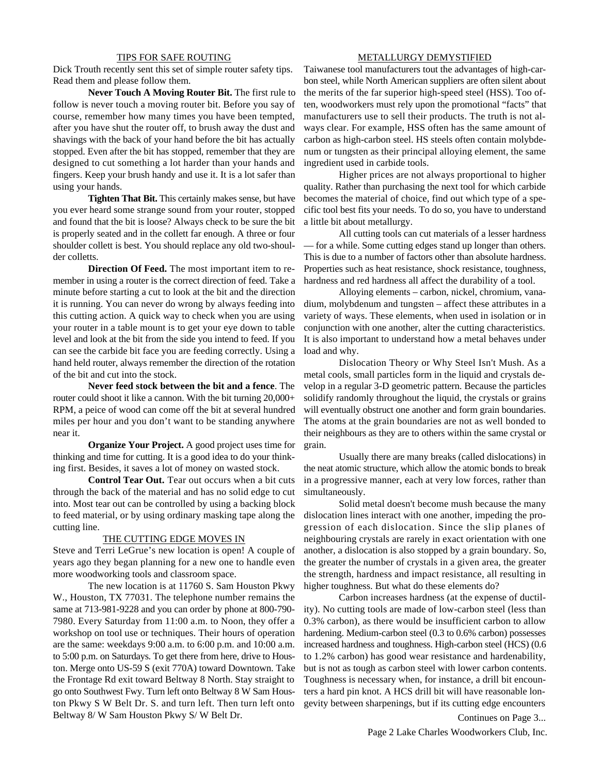## TIPS FOR SAFE ROUTING

Dick Trouth recently sent this set of simple router safety tips. Read them and please follow them.

**Never Touch A Moving Router Bit.** The first rule to follow is never touch a moving router bit. Before you say of course, remember how many times you have been tempted, after you have shut the router off, to brush away the dust and shavings with the back of your hand before the bit has actually stopped. Even after the bit has stopped, remember that they are designed to cut something a lot harder than your hands and fingers. Keep your brush handy and use it. It is a lot safer than using your hands.

**Tighten That Bit.** This certainly makes sense, but have you ever heard some strange sound from your router, stopped and found that the bit is loose? Always check to be sure the bit is properly seated and in the collett far enough. A three or four shoulder collett is best. You should replace any old two-shoulder colletts.

**Direction Of Feed.** The most important item to remember in using a router is the correct direction of feed. Take a minute before starting a cut to look at the bit and the direction it is running. You can never do wrong by always feeding into this cutting action. A quick way to check when you are using your router in a table mount is to get your eye down to table level and look at the bit from the side you intend to feed. If you can see the carbide bit face you are feeding correctly. Using a hand held router, always remember the direction of the rotation of the bit and cut into the stock.

**Never feed stock between the bit and a fence**. The router could shoot it like a cannon. With the bit turning 20,000+ RPM, a peice of wood can come off the bit at several hundred miles per hour and you don't want to be standing anywhere near it.

**Organize Your Project.** A good project uses time for thinking and time for cutting. It is a good idea to do your thinking first. Besides, it saves a lot of money on wasted stock.

**Control Tear Out.** Tear out occurs when a bit cuts through the back of the material and has no solid edge to cut into. Most tear out can be controlled by using a backing block to feed material, or by using ordinary masking tape along the cutting line.

## THE CUTTING EDGE MOVES IN

Steve and Terri LeGrue's new location is open! A couple of years ago they began planning for a new one to handle even more woodworking tools and classroom space.

The new location is at 11760 S. Sam Houston Pkwy W., Houston, TX 77031. The telephone number remains the same at 713-981-9228 and you can order by phone at 800-790- 7980. Every Saturday from 11:00 a.m. to Noon, they offer a workshop on tool use or techniques. Their hours of operation are the same: weekdays 9:00 a.m. to 6:00 p.m. and 10:00 a.m. to 5:00 p.m. on Saturdays. To get there from here, drive to Houston. Merge onto US-59 S (exit 770A) toward Downtown. Take the Frontage Rd exit toward Beltway 8 North. Stay straight to go onto Southwest Fwy. Turn left onto Beltway 8 W Sam Houston Pkwy S W Belt Dr. S. and turn left. Then turn left onto Beltway 8/ W Sam Houston Pkwy S/ W Belt Dr.

## METALLURGY DEMYSTIFIED

Taiwanese tool manufacturers tout the advantages of high-carbon steel, while North American suppliers are often silent about the merits of the far superior high-speed steel (HSS). Too often, woodworkers must rely upon the promotional "facts" that manufacturers use to sell their products. The truth is not always clear. For example, HSS often has the same amount of carbon as high-carbon steel. HS steels often contain molybdenum or tungsten as their principal alloying element, the same ingredient used in carbide tools.

Higher prices are not always proportional to higher quality. Rather than purchasing the next tool for which carbide becomes the material of choice, find out which type of a specific tool best fits your needs. To do so, you have to understand a little bit about metallurgy.

All cutting tools can cut materials of a lesser hardness — for a while. Some cutting edges stand up longer than others. This is due to a number of factors other than absolute hardness. Properties such as heat resistance, shock resistance, toughness, hardness and red hardness all affect the durability of a tool.

Alloying elements – carbon, nickel, chromium, vanadium, molybdenum and tungsten – affect these attributes in a variety of ways. These elements, when used in isolation or in conjunction with one another, alter the cutting characteristics. It is also important to understand how a metal behaves under load and why.

Dislocation Theory or Why Steel Isn't Mush. As a metal cools, small particles form in the liquid and crystals develop in a regular 3-D geometric pattern. Because the particles solidify randomly throughout the liquid, the crystals or grains will eventually obstruct one another and form grain boundaries. The atoms at the grain boundaries are not as well bonded to their neighbours as they are to others within the same crystal or grain.

Usually there are many breaks (called dislocations) in the neat atomic structure, which allow the atomic bonds to break in a progressive manner, each at very low forces, rather than simultaneously.

Solid metal doesn't become mush because the many dislocation lines interact with one another, impeding the progression of each dislocation. Since the slip planes of neighbouring crystals are rarely in exact orientation with one another, a dislocation is also stopped by a grain boundary. So, the greater the number of crystals in a given area, the greater the strength, hardness and impact resistance, all resulting in higher toughness. But what do these elements do?

Carbon increases hardness (at the expense of ductility). No cutting tools are made of low-carbon steel (less than 0.3% carbon), as there would be insufficient carbon to allow hardening. Medium-carbon steel (0.3 to 0.6% carbon) possesses increased hardness and toughness. High-carbon steel (HCS) (0.6 to 1.2% carbon) has good wear resistance and hardenability, but is not as tough as carbon steel with lower carbon contents. Toughness is necessary when, for instance, a drill bit encounters a hard pin knot. A HCS drill bit will have reasonable longevity between sharpenings, but if its cutting edge encounters